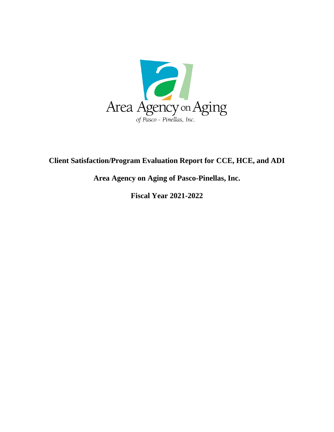

## **Client Satisfaction/Program Evaluation Report for CCE, HCE, and ADI**

**Area Agency on Aging of Pasco-Pinellas, Inc.**

**Fiscal Year 2021-2022**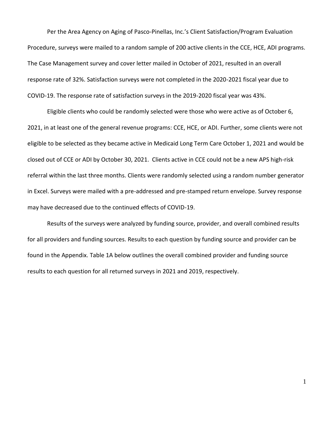Per the Area Agency on Aging of Pasco-Pinellas, Inc.'s Client Satisfaction/Program Evaluation Procedure, surveys were mailed to a random sample of 200 active clients in the CCE, HCE, ADI programs. The Case Management survey and cover letter mailed in October of 2021, resulted in an overall response rate of 32%. Satisfaction surveys were not completed in the 2020-2021 fiscal year due to COVID-19. The response rate of satisfaction surveys in the 2019-2020 fiscal year was 43%.

Eligible clients who could be randomly selected were those who were active as of October 6, 2021, in at least one of the general revenue programs: CCE, HCE, or ADI. Further, some clients were not eligible to be selected as they became active in Medicaid Long Term Care October 1, 2021 and would be closed out of CCE or ADI by October 30, 2021. Clients active in CCE could not be a new APS high-risk referral within the last three months. Clients were randomly selected using a random number generator in Excel. Surveys were mailed with a pre-addressed and pre-stamped return envelope. Survey response may have decreased due to the continued effects of COVID-19.

Results of the surveys were analyzed by funding source, provider, and overall combined results for all providers and funding sources. Results to each question by funding source and provider can be found in the Appendix. Table 1A below outlines the overall combined provider and funding source results to each question for all returned surveys in 2021 and 2019, respectively.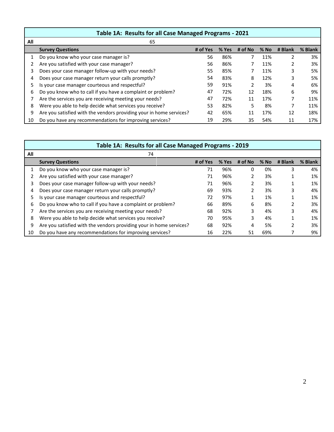| Table 1A: Results for all Case Managed Programs - 2021 |                                                                     |          |       |               |        |         |         |  |  |
|--------------------------------------------------------|---------------------------------------------------------------------|----------|-------|---------------|--------|---------|---------|--|--|
| All                                                    | 65                                                                  |          |       |               |        |         |         |  |  |
|                                                        | <b>Survey Questions</b>                                             | # of Yes | % Yes | # of No       | $%$ No | # Blank | % Blank |  |  |
|                                                        | Do you know who your case manager is?                               | 56       | 86%   |               | 11%    | ำ       | 3%      |  |  |
|                                                        | Are you satisfied with your case manager?                           | 56       | 86%   |               | 11%    |         | 3%      |  |  |
|                                                        | Does your case manager follow-up with your needs?                   | 55       | 85%   |               | 11%    | 3       | 5%      |  |  |
| 4                                                      | Does your case manager return your calls promptly?                  |          | 83%   | 8             | 12%    | 3       | 5%      |  |  |
| 5                                                      | Is your case manager courteous and respectful?                      | 59       | 91%   | $\mathfrak z$ | 3%     | 4       | 6%      |  |  |
| 6                                                      | Do you know who to call if you have a complaint or problem?         | 47       | 72%   | 12            | 18%    | 6       | 9%      |  |  |
|                                                        | Are the services you are receiving meeting your needs?              |          | 72%   | 11            | 17%    |         | 11%     |  |  |
| 8                                                      | Were you able to help decide what services you receive?             |          | 82%   | 5             | 8%     |         | 11%     |  |  |
| 9                                                      | Are you satisfied with the vendors providing your in home services? | 42       | 65%   | 11            | 17%    | 12      | 18%     |  |  |
| 10                                                     | Do you have any recommendations for improving services?             | 19       | 29%   | 35            | 54%    | 11      | 17%     |  |  |

|     | Table 1A: Results for all Case Managed Programs - 2019              |          |       |         |        |         |         |  |  |  |  |
|-----|---------------------------------------------------------------------|----------|-------|---------|--------|---------|---------|--|--|--|--|
| All | 74                                                                  |          |       |         |        |         |         |  |  |  |  |
|     | <b>Survey Questions</b>                                             | # of Yes | % Yes | # of No | $%$ No | # Blank | % Blank |  |  |  |  |
|     | Do you know who your case manager is?                               | 71       | 96%   | 0       | 0%     | 3       | 4%      |  |  |  |  |
|     | Are you satisfied with your case manager?                           | 71       | 96%   |         | 3%     |         | 1%      |  |  |  |  |
| 3   | Does your case manager follow-up with your needs?                   | 71       | 96%   |         | 3%     |         | 1%      |  |  |  |  |
| 4   | Does your case manager return your calls promptly?                  |          | 93%   | 2       | 3%     | 3       | 4%      |  |  |  |  |
| 5.  | Is your case manager courteous and respectful?                      |          | 97%   |         | 1%     |         | 1%      |  |  |  |  |
| 6   | Do you know who to call if you have a complaint or problem?         |          | 89%   | 6       | 8%     |         | 3%      |  |  |  |  |
|     | Are the services you are receiving meeting your needs?              |          | 92%   | 3       | 4%     | 3       | 4%      |  |  |  |  |
| 8   | Were you able to help decide what services you receive?             | 70       | 95%   | 3       | 4%     |         | 1%      |  |  |  |  |
| 9   | Are you satisfied with the vendors providing your in home services? | 68       | 92%   | 4       | 5%     | 2       | 3%      |  |  |  |  |
| 10  | Do you have any recommendations for improving services?             | 16       | 22%   | 51      | 69%    |         | 9%      |  |  |  |  |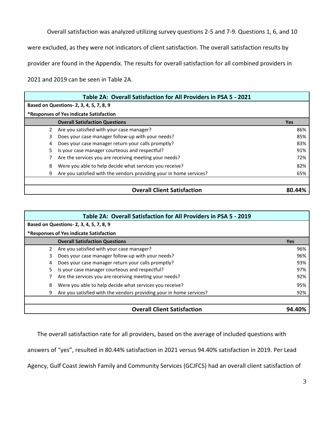Overall satisfaction was analyzed utilizing survey questions 2-5 and 7-9. Questions 1, 6, and 10

were excluded, as they were not indicators of client satisfaction. The overall satisfaction results by

provider are found in the Appendix. The results for overall satisfaction for all combined providers in

2021 and 2019 can be seen in Table 2A.

|    | Table 2A: Overall Satisfaction for All Providers in PSA 5 - 2021    |            |  |  |  |  |  |  |
|----|---------------------------------------------------------------------|------------|--|--|--|--|--|--|
|    | Based on Questions- 2, 3, 4, 5, 7, 8, 9                             |            |  |  |  |  |  |  |
|    | *Responses of Yes indicate Satisfaction                             |            |  |  |  |  |  |  |
|    | <b>Overall Satisfaction Questions</b>                               | <b>Yes</b> |  |  |  |  |  |  |
|    | Are you satisfied with your case manager?                           | 86%        |  |  |  |  |  |  |
| 3. | Does your case manager follow-up with your needs?                   | 85%        |  |  |  |  |  |  |
| 4  | Does your case manager return your calls promptly?                  | 83%        |  |  |  |  |  |  |
| 5. | Is your case manager courteous and respectful?                      | 91%        |  |  |  |  |  |  |
|    | Are the services you are receiving meeting your needs?              | 72%        |  |  |  |  |  |  |
| 8  | Were you able to help decide what services you receive?             | 82%        |  |  |  |  |  |  |
| 9  | Are you satisfied with the vendors providing your in home services? | 65%        |  |  |  |  |  |  |
|    |                                                                     |            |  |  |  |  |  |  |
|    | <b>Overall Client Satisfaction</b>                                  | 80.44%     |  |  |  |  |  |  |

|    | Table 2A: Overall Satisfaction for All Providers in PSA 5 - 2019    |            |  |  |  |  |  |
|----|---------------------------------------------------------------------|------------|--|--|--|--|--|
|    | Based on Questions- 2, 3, 4, 5, 7, 8, 9                             |            |  |  |  |  |  |
|    | *Responses of Yes indicate Satisfaction                             |            |  |  |  |  |  |
|    | <b>Overall Satisfaction Questions</b>                               | <b>Yes</b> |  |  |  |  |  |
| 2  | Are you satisfied with your case manager?                           | 96%        |  |  |  |  |  |
| 3. | Does your case manager follow-up with your needs?                   | 96%        |  |  |  |  |  |
| 4  | Does your case manager return your calls promptly?                  | 93%        |  |  |  |  |  |
| 5  | Is your case manager courteous and respectful?                      | 97%        |  |  |  |  |  |
|    | Are the services you are receiving meeting your needs?              | 92%        |  |  |  |  |  |
| 8  | Were you able to help decide what services you receive?             | 95%        |  |  |  |  |  |
| 9  | Are you satisfied with the vendors providing your in home services? | 92%        |  |  |  |  |  |
|    |                                                                     |            |  |  |  |  |  |
|    | <b>Overall Client Satisfaction</b>                                  | 94.40%     |  |  |  |  |  |

The overall satisfaction rate for all providers, based on the average of included questions with

answers of "yes", resulted in 80.44% satisfaction in 2021 versus 94.40% satisfaction in 2019. Per Lead

Agency, Gulf Coast Jewish Family and Community Services (GCJFCS) had an overall client satisfaction of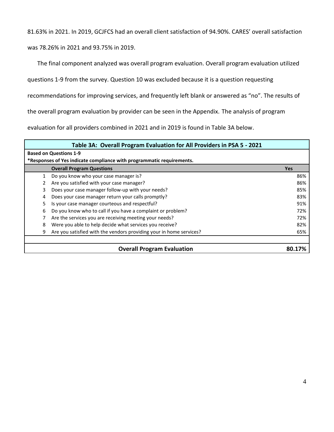81.63% in 2021. In 2019, GCJFCS had an overall client satisfaction of 94.90%. CARES' overall satisfaction

was 78.26% in 2021 and 93.75% in 2019.

The final component analyzed was overall program evaluation. Overall program evaluation utilized

questions 1-9 from the survey. Question 10 was excluded because it is a question requesting

recommendations for improving services, and frequently left blank or answered as "no". The results of

the overall program evaluation by provider can be seen in the Appendix. The analysis of program

evaluation for all providers combined in 2021 and in 2019 is found in Table 3A below.

|   | Table 3A: Overall Program Evaluation for All Providers in PSA 5 - 2021 |            |  |  |  |  |  |  |  |
|---|------------------------------------------------------------------------|------------|--|--|--|--|--|--|--|
|   | <b>Based on Questions 1-9</b>                                          |            |  |  |  |  |  |  |  |
|   | *Responses of Yes indicate compliance with programmatic requirements.  |            |  |  |  |  |  |  |  |
|   | <b>Overall Program Questions</b>                                       | <b>Yes</b> |  |  |  |  |  |  |  |
|   | Do you know who your case manager is?                                  | 86%        |  |  |  |  |  |  |  |
| 2 | Are you satisfied with your case manager?                              | 86%        |  |  |  |  |  |  |  |
| 3 | Does your case manager follow-up with your needs?                      | 85%        |  |  |  |  |  |  |  |
| 4 | Does your case manager return your calls promptly?                     | 83%        |  |  |  |  |  |  |  |
| 5 | Is your case manager courteous and respectful?                         | 91%        |  |  |  |  |  |  |  |
| 6 | Do you know who to call if you have a complaint or problem?            | 72%        |  |  |  |  |  |  |  |
|   | Are the services you are receiving meeting your needs?                 | 72%        |  |  |  |  |  |  |  |
| 8 | Were you able to help decide what services you receive?                | 82%        |  |  |  |  |  |  |  |
| 9 | Are you satisfied with the vendors providing your in home services?    | 65%        |  |  |  |  |  |  |  |
|   |                                                                        |            |  |  |  |  |  |  |  |
|   | <b>Overall Program Evaluation</b>                                      | 80.17%     |  |  |  |  |  |  |  |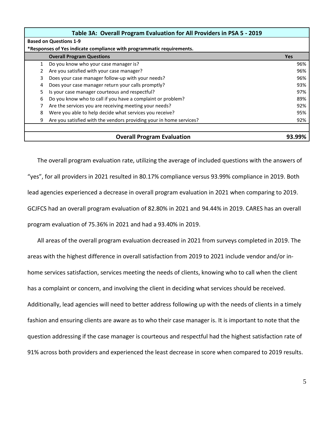|   | Table 3A: Overall Program Evaluation for All Providers in PSA 5 - 2019 |            |  |  |  |  |  |  |
|---|------------------------------------------------------------------------|------------|--|--|--|--|--|--|
|   | <b>Based on Questions 1-9</b>                                          |            |  |  |  |  |  |  |
|   | *Responses of Yes indicate compliance with programmatic requirements.  |            |  |  |  |  |  |  |
|   | <b>Overall Program Questions</b>                                       | <b>Yes</b> |  |  |  |  |  |  |
| 1 | Do you know who your case manager is?                                  | 96%        |  |  |  |  |  |  |
|   | Are you satisfied with your case manager?                              | 96%        |  |  |  |  |  |  |
| 3 | Does your case manager follow-up with your needs?                      | 96%        |  |  |  |  |  |  |
| 4 | Does your case manager return your calls promptly?                     | 93%        |  |  |  |  |  |  |
| 5 | Is your case manager courteous and respectful?                         | 97%        |  |  |  |  |  |  |
| 6 | Do you know who to call if you have a complaint or problem?            | 89%        |  |  |  |  |  |  |
|   | Are the services you are receiving meeting your needs?                 | 92%        |  |  |  |  |  |  |
| 8 | Were you able to help decide what services you receive?                | 95%        |  |  |  |  |  |  |
| 9 | Are you satisfied with the vendors providing your in home services?    | 92%        |  |  |  |  |  |  |
|   |                                                                        |            |  |  |  |  |  |  |
|   | <b>Overall Program Evaluation</b>                                      |            |  |  |  |  |  |  |

The overall program evaluation rate, utilizing the average of included questions with the answers of "yes", for all providers in 2021 resulted in 80.17% compliance versus 93.99% compliance in 2019. Both lead agencies experienced a decrease in overall program evaluation in 2021 when comparing to 2019. GCJFCS had an overall program evaluation of 82.80% in 2021 and 94.44% in 2019. CARES has an overall program evaluation of 75.36% in 2021 and had a 93.40% in 2019.

All areas of the overall program evaluation decreased in 2021 from surveys completed in 2019. The areas with the highest difference in overall satisfaction from 2019 to 2021 include vendor and/or inhome services satisfaction, services meeting the needs of clients, knowing who to call when the client has a complaint or concern, and involving the client in deciding what services should be received. Additionally, lead agencies will need to better address following up with the needs of clients in a timely fashion and ensuring clients are aware as to who their case manager is. It is important to note that the question addressing if the case manager is courteous and respectful had the highest satisfaction rate of 91% across both providers and experienced the least decrease in score when compared to 2019 results.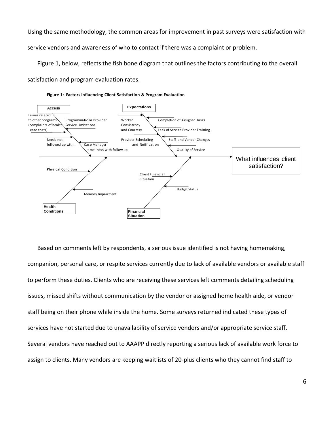Using the same methodology, the common areas for improvement in past surveys were satisfaction with

service vendors and awareness of who to contact if there was a complaint or problem.

Figure 1, below, reflects the fish bone diagram that outlines the factors contributing to the overall

satisfaction and program evaluation rates.





Based on comments left by respondents, a serious issue identified is not having homemaking, companion, personal care, or respite services currently due to lack of available vendors or available staff to perform these duties. Clients who are receiving these services left comments detailing scheduling issues, missed shifts without communication by the vendor or assigned home health aide, or vendor staff being on their phone while inside the home. Some surveys returned indicated these types of services have not started due to unavailability of service vendors and/or appropriate service staff. Several vendors have reached out to AAAPP directly reporting a serious lack of available work force to assign to clients. Many vendors are keeping waitlists of 20-plus clients who they cannot find staff to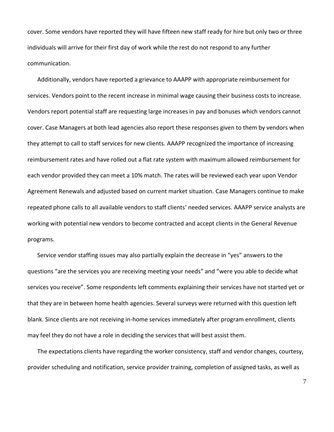cover. Some vendors have reported they will have fifteen new staff ready for hire but only two or three individuals will arrive for their first day of work while the rest do not respond to any further communication.

Additionally, vendors have reported a grievance to AAAPP with appropriate reimbursement for services. Vendors point to the recent increase in minimal wage causing their business costs to increase. Vendors report potential staff are requesting large increases in pay and bonuses which vendors cannot cover. Case Managers at both lead agencies also report these responses given to them by vendors when they attempt to call to staff services for new clients. AAAPP recognized the importance of increasing reimbursement rates and have rolled out a flat rate system with maximum allowed reimbursement for each vendor provided they can meet a 10% match. The rates will be reviewed each year upon Vendor Agreement Renewals and adjusted based on current market situation. Case Managers continue to make repeated phone calls to all available vendors to staff clients' needed services. AAAPP service analysts are working with potential new vendors to become contracted and accept clients in the General Revenue programs.

Service vendor staffing issues may also partially explain the decrease in "yes" answers to the questions "are the services you are receiving meeting your needs" and "were you able to decide what services you receive". Some respondents left comments explaining their services have not started yet or that they are in between home health agencies. Several surveys were returned with this question left blank. Since clients are not receiving in-home services immediately after program enrollment, clients may feel they do not have a role in deciding the services that will best assist them.

The expectations clients have regarding the worker consistency, staff and vendor changes, courtesy, provider scheduling and notification, service provider training, completion of assigned tasks, as well as

7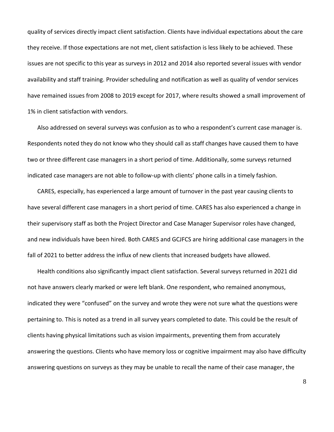quality of services directly impact client satisfaction. Clients have individual expectations about the care they receive. If those expectations are not met, client satisfaction is less likely to be achieved. These issues are not specific to this year as surveys in 2012 and 2014 also reported several issues with vendor availability and staff training. Provider scheduling and notification as well as quality of vendor services have remained issues from 2008 to 2019 except for 2017, where results showed a small improvement of 1% in client satisfaction with vendors.

Also addressed on several surveys was confusion as to who a respondent's current case manager is. Respondents noted they do not know who they should call as staff changes have caused them to have two or three different case managers in a short period of time. Additionally, some surveys returned indicated case managers are not able to follow-up with clients' phone calls in a timely fashion.

CARES, especially, has experienced a large amount of turnover in the past year causing clients to have several different case managers in a short period of time. CARES has also experienced a change in their supervisory staff as both the Project Director and Case Manager Supervisor roles have changed, and new individuals have been hired. Both CARES and GCJFCS are hiring additional case managers in the fall of 2021 to better address the influx of new clients that increased budgets have allowed.

Health conditions also significantly impact client satisfaction. Several surveys returned in 2021 did not have answers clearly marked or were left blank. One respondent, who remained anonymous, indicated they were "confused" on the survey and wrote they were not sure what the questions were pertaining to. This is noted as a trend in all survey years completed to date. This could be the result of clients having physical limitations such as vision impairments, preventing them from accurately answering the questions. Clients who have memory loss or cognitive impairment may also have difficulty answering questions on surveys as they may be unable to recall the name of their case manager, the

8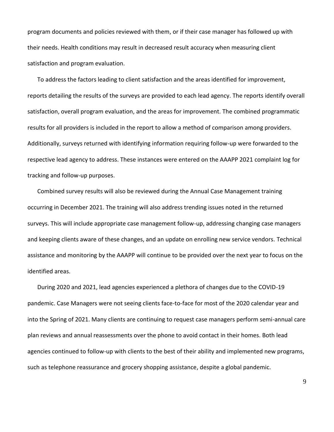program documents and policies reviewed with them, or if their case manager has followed up with their needs. Health conditions may result in decreased result accuracy when measuring client satisfaction and program evaluation.

To address the factors leading to client satisfaction and the areas identified for improvement, reports detailing the results of the surveys are provided to each lead agency. The reports identify overall satisfaction, overall program evaluation, and the areas for improvement. The combined programmatic results for all providers is included in the report to allow a method of comparison among providers. Additionally, surveys returned with identifying information requiring follow-up were forwarded to the respective lead agency to address. These instances were entered on the AAAPP 2021 complaint log for tracking and follow-up purposes.

Combined survey results will also be reviewed during the Annual Case Management training occurring in December 2021. The training will also address trending issues noted in the returned surveys. This will include appropriate case management follow-up, addressing changing case managers and keeping clients aware of these changes, and an update on enrolling new service vendors. Technical assistance and monitoring by the AAAPP will continue to be provided over the next year to focus on the identified areas.

During 2020 and 2021, lead agencies experienced a plethora of changes due to the COVID-19 pandemic. Case Managers were not seeing clients face-to-face for most of the 2020 calendar year and into the Spring of 2021. Many clients are continuing to request case managers perform semi-annual care plan reviews and annual reassessments over the phone to avoid contact in their homes. Both lead agencies continued to follow-up with clients to the best of their ability and implemented new programs, such as telephone reassurance and grocery shopping assistance, despite a global pandemic.

9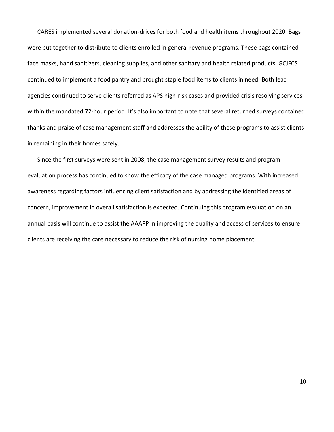CARES implemented several donation-drives for both food and health items throughout 2020. Bags were put together to distribute to clients enrolled in general revenue programs. These bags contained face masks, hand sanitizers, cleaning supplies, and other sanitary and health related products. GCJFCS continued to implement a food pantry and brought staple food items to clients in need. Both lead agencies continued to serve clients referred as APS high-risk cases and provided crisis resolving services within the mandated 72-hour period. It's also important to note that several returned surveys contained thanks and praise of case management staff and addresses the ability of these programs to assist clients in remaining in their homes safely.

Since the first surveys were sent in 2008, the case management survey results and program evaluation process has continued to show the efficacy of the case managed programs. With increased awareness regarding factors influencing client satisfaction and by addressing the identified areas of concern, improvement in overall satisfaction is expected. Continuing this program evaluation on an annual basis will continue to assist the AAAPP in improving the quality and access of services to ensure clients are receiving the care necessary to reduce the risk of nursing home placement.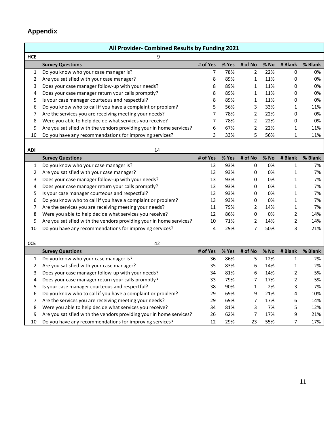## **Appendix**

|            | All Provider- Combined Results by Funding 2021                      |                |       |                |      |              |         |  |  |  |
|------------|---------------------------------------------------------------------|----------------|-------|----------------|------|--------------|---------|--|--|--|
| <b>HCE</b> | 9                                                                   |                |       |                |      |              |         |  |  |  |
|            | <b>Survey Questions</b>                                             | # of Yes       | % Yes | # of No        | % No | # Blank      | % Blank |  |  |  |
| 1          | Do you know who your case manager is?                               | $\overline{7}$ | 78%   | $\overline{2}$ | 22%  | 0            | 0%      |  |  |  |
| 2          | Are you satisfied with your case manager?                           | 8              | 89%   | $\mathbf{1}$   | 11%  | 0            | 0%      |  |  |  |
| 3          | Does your case manager follow-up with your needs?                   | 8              | 89%   | $\mathbf{1}$   | 11%  | 0            | 0%      |  |  |  |
| 4          | Does your case manager return your calls promptly?                  | 8              | 89%   | $\mathbf{1}$   | 11%  | 0            | 0%      |  |  |  |
| 5          | Is your case manager courteous and respectful?                      | 8              | 89%   | 1              | 11%  | 0            | 0%      |  |  |  |
| 6          | Do you know who to call if you have a complaint or problem?         | 5              | 56%   | 3              | 33%  | 1            | 11%     |  |  |  |
| 7          | Are the services you are receiving meeting your needs?              | 7              | 78%   | $\overline{2}$ | 22%  | 0            | 0%      |  |  |  |
| 8          | Were you able to help decide what services you receive?             | $\overline{7}$ | 78%   | $\overline{2}$ | 22%  | 0            | 0%      |  |  |  |
| 9          | Are you satisfied with the vendors providing your in home services? | 6              | 67%   | $\overline{2}$ | 22%  | 1            | 11%     |  |  |  |
| 10         | Do you have any recommendations for improving services?             | 3              | 33%   | 5              | 56%  | 1            | 11%     |  |  |  |
|            |                                                                     |                |       |                |      |              |         |  |  |  |
| <b>ADI</b> | 14                                                                  |                |       |                |      |              |         |  |  |  |
|            | <b>Survey Questions</b>                                             | # of Yes       | % Yes | # of No        | % No | # Blank      | % Blank |  |  |  |
| 1          | Do you know who your case manager is?                               | 13             | 93%   | 0              | 0%   | 1            | 7%      |  |  |  |
| 2          | Are you satisfied with your case manager?                           | 13             | 93%   | 0              | 0%   | $\mathbf 1$  | 7%      |  |  |  |
| 3          | Does your case manager follow-up with your needs?                   | 13             | 93%   | 0              | 0%   | 1            | 7%      |  |  |  |
| 4          | Does your case manager return your calls promptly?                  | 13             | 93%   | 0              | 0%   | $\mathbf{1}$ | 7%      |  |  |  |
| 5          | Is your case manager courteous and respectful?                      | 13             | 93%   | 0              | 0%   | $\mathbf 1$  | 7%      |  |  |  |
| 6          | Do you know who to call if you have a complaint or problem?         | 13             | 93%   | 0              | 0%   | 1            | 7%      |  |  |  |
| 7          | Are the services you are receiving meeting your needs?              | 11             | 79%   | $\overline{2}$ | 14%  | 1            | 7%      |  |  |  |
| 8          | Were you able to help decide what services you receive?             | 12             | 86%   | 0              | 0%   | 2            | 14%     |  |  |  |
| 9          | Are you satisfied with the vendors providing your in home services? | 10             | 71%   | 2              | 14%  | 2            | 14%     |  |  |  |
| 10         | Do you have any recommendations for improving services?             | 4              | 29%   | 7              | 50%  | 3            | 21%     |  |  |  |
|            |                                                                     |                |       |                |      |              |         |  |  |  |
| <b>CCE</b> | 42                                                                  |                |       |                |      |              |         |  |  |  |
|            | <b>Survey Questions</b>                                             | # of Yes       | % Yes | # of No        | % No | # Blank      | % Blank |  |  |  |
| 1          | Do you know who your case manager is?                               | 36             | 86%   | 5              | 12%  | 1            | 2%      |  |  |  |
| 2          | Are you satisfied with your case manager?                           | 35             | 83%   | 6              | 14%  | 1            | 2%      |  |  |  |
| 3          | Does your case manager follow-up with your needs?                   | 34             | 81%   | 6              | 14%  | 2            | 5%      |  |  |  |
| 4          | Does your case manager return your calls promptly?                  | 33             | 79%   | $\overline{7}$ | 17%  | 2            | 5%      |  |  |  |
| 5          | Is your case manager courteous and respectful?                      | 38             | 90%   | $\mathbf{1}$   | 2%   | 3            | 7%      |  |  |  |
| 6          | Do you know who to call if you have a complaint or problem?         | 29<br>29       | 69%   | 9              | 21%  | 4            | 10%     |  |  |  |
| 7          | Are the services you are receiving meeting your needs?              |                | 69%   | 7              | 17%  | 6            | 14%     |  |  |  |
| 8          | Were you able to help decide what services you receive?             | 34             | 81%   | 3              | 7%   | 5            | 12%     |  |  |  |
| 9          | Are you satisfied with the vendors providing your in home services? | 26             | 62%   | $\overline{7}$ | 17%  | 9            | 21%     |  |  |  |
| 10         | Do you have any recommendations for improving services?             | 12             | 29%   | 23             | 55%  | 7            | 17%     |  |  |  |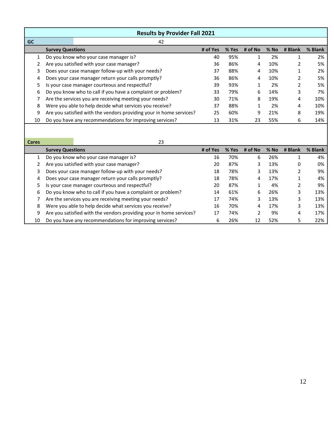| <b>Results by Provider Fall 2021</b> |                                                                     |                                                             |          |       |         |        |         |         |
|--------------------------------------|---------------------------------------------------------------------|-------------------------------------------------------------|----------|-------|---------|--------|---------|---------|
| <b>GC</b>                            |                                                                     | 42                                                          |          |       |         |        |         |         |
|                                      | <b>Survey Questions</b>                                             |                                                             | # of Yes | % Yes | # of No | $%$ No | # Blank | % Blank |
| 1                                    | Do you know who your case manager is?                               |                                                             | 40       | 95%   | 1       | 2%     | 4       | 2%      |
|                                      | Are you satisfied with your case manager?                           | 36                                                          | 86%      | 4     | 10%     |        | 5%      |         |
| 3                                    | Does your case manager follow-up with your needs?                   |                                                             |          | 88%   | 4       | 10%    |         | 2%      |
| 4                                    | Does your case manager return your calls promptly?                  |                                                             | 36       | 86%   | 4       | 10%    |         | 5%      |
| 5.                                   | Is your case manager courteous and respectful?                      |                                                             | 39       | 93%   |         | 2%     | ำ       | 5%      |
| 6                                    |                                                                     | Do you know who to call if you have a complaint or problem? | 33       | 79%   | 6       | 14%    | 3       | 7%      |
|                                      |                                                                     | Are the services you are receiving meeting your needs?      | 30       | 71%   | 8       | 19%    | 4       | 10%     |
| 8                                    |                                                                     | Were you able to help decide what services you receive?     | 37       | 88%   |         | 2%     | 4       | 10%     |
| 9                                    | Are you satisfied with the vendors providing your in home services? |                                                             | 25       | 60%   | 9       | 21%    | 8       | 19%     |
| 10                                   |                                                                     | Do you have any recommendations for improving services?     | 13       | 31%   | 23      | 55%    | 6       | 14%     |

| <b>Cares</b> | 23 |
|--------------|----|
|              |    |

|    | <b>Survey Questions</b>                                             | # of Yes | $%$ Yes | # of $No$ | $%$ No | # Blank | % Blank |
|----|---------------------------------------------------------------------|----------|---------|-----------|--------|---------|---------|
|    | Do you know who your case manager is?                               | 16       | 70%     | 6         | 26%    |         | 4%      |
|    | Are you satisfied with your case manager?                           | 20       | 87%     | 3         | 13%    | 0       | 0%      |
|    | Does your case manager follow-up with your needs?                   | 18       | 78%     | 3         | 13%    |         | 9%      |
| 4  | Does your case manager return your calls promptly?                  | 18       | 78%     | 4         | 17%    |         | 4%      |
| 5. | Is your case manager courteous and respectful?                      | 20       | 87%     |           | 4%     |         | 9%      |
| 6  | Do you know who to call if you have a complaint or problem?         | 14       | 61%     | 6         | 26%    | 3       | 13%     |
|    | Are the services you are receiving meeting your needs?              | 17       | 74%     | 3         | 13%    | 3       | 13%     |
| 8  | Were you able to help decide what services you receive?             | 16       | 70%     | 4         | 17%    | 3       | 13%     |
| 9  | Are you satisfied with the vendors providing your in home services? | 17       | 74%     | 2         | 9%     | 4       | 17%     |
| 10 | Do you have any recommendations for improving services?             | 6        | 26%     | 12        | 52%    | 5.      | 22%     |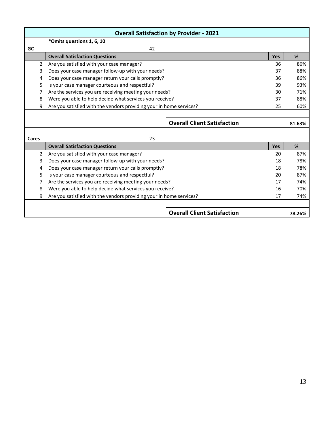|       |                                                                     |    | <b>Overall Satisfaction by Provider - 2021</b> |            |        |
|-------|---------------------------------------------------------------------|----|------------------------------------------------|------------|--------|
|       | *Omits questions 1, 6, 10                                           |    |                                                |            |        |
| GC    |                                                                     | 42 |                                                |            |        |
|       | <b>Overall Satisfaction Questions</b>                               |    |                                                | <b>Yes</b> | %      |
| 2     | Are you satisfied with your case manager?                           |    |                                                | 36         | 86%    |
| 3     | Does your case manager follow-up with your needs?                   |    |                                                | 37         | 88%    |
| 4     | Does your case manager return your calls promptly?                  |    |                                                | 36         | 86%    |
| 5     | Is your case manager courteous and respectful?                      |    |                                                | 39         | 93%    |
| 7     | Are the services you are receiving meeting your needs?              |    |                                                | 30         | 71%    |
| 8     | Were you able to help decide what services you receive?             |    |                                                | 37         | 88%    |
| 9     | Are you satisfied with the vendors providing your in home services? |    |                                                | 25         | 60%    |
|       |                                                                     |    |                                                |            |        |
|       |                                                                     |    | <b>Overall Client Satisfaction</b>             |            | 81.63% |
|       |                                                                     |    |                                                |            |        |
| Cares |                                                                     | 23 |                                                |            |        |
|       | <b>Overall Satisfaction Questions</b>                               |    |                                                | Yes        | %      |
| 2     | Are you satisfied with your case manager?                           |    |                                                | 20         | 87%    |
| 3     | Does your case manager follow-up with your needs?                   |    |                                                | 18         | 78%    |
| 4     | Does your case manager return your calls promptly?                  |    |                                                | 18         | 78%    |
| 5     | Is your case manager courteous and respectful?                      |    |                                                | 20         | 87%    |
| 7     | Are the services you are receiving meeting your needs?              |    |                                                | 17         | 74%    |
| 8     | Were you able to help decide what services you receive?             |    |                                                | 16         | 70%    |
| 9     | Are you satisfied with the vendors providing your in home services? |    |                                                | 17         | 74%    |
|       |                                                                     |    |                                                |            |        |
|       |                                                                     |    | <b>Overall Client Satisfaction</b>             |            | 78.26% |